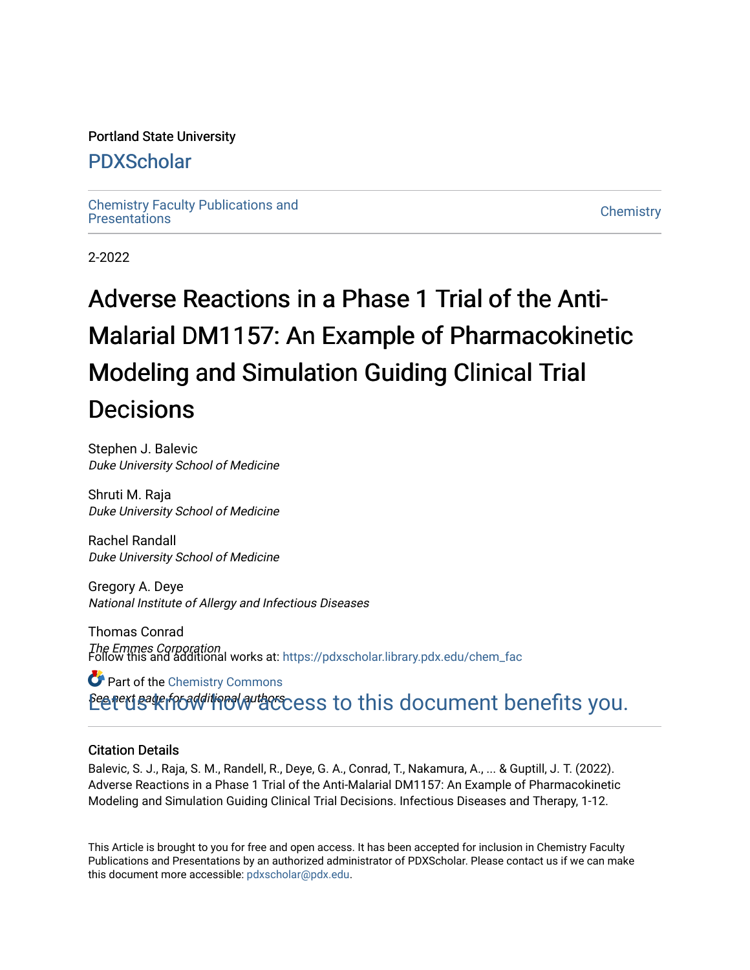#### Portland State University

# [PDXScholar](https://pdxscholar.library.pdx.edu/)

[Chemistry Faculty Publications and](https://pdxscholar.library.pdx.edu/chem_fac)  [Chemistry](https://pdxscholar.library.pdx.edu/chem) Pacific Phonolations and the control of the control of the Chemistry Chemistry Chemistry

2-2022

# Adverse Reactions in a Phase 1 Trial of the Anti-Malarial DM1157: An Example of Pharmacokinetic Modeling and Simulation Guiding Clinical Trial **Decisions**

Stephen J. Balevic Duke University School of Medicine

Shruti M. Raja Duke University School of Medicine

Rachel Randall Duke University School of Medicine

Gregory A. Deye National Institute of Allergy and Infectious Diseases

Thomas Conrad The Emmes Corporation Follow this and additional works at: [https://pdxscholar.library.pdx.edu/chem\\_fac](https://pdxscholar.library.pdx.edu/chem_fac?utm_source=pdxscholar.library.pdx.edu%2Fchem_fac%2F440&utm_medium=PDF&utm_campaign=PDFCoverPages) 

Betert Bate from the correct set of this document benefits you. Part of the [Chemistry Commons](http://network.bepress.com/hgg/discipline/131?utm_source=pdxscholar.library.pdx.edu%2Fchem_fac%2F440&utm_medium=PDF&utm_campaign=PDFCoverPages) 

#### Citation Details

Balevic, S. J., Raja, S. M., Randell, R., Deye, G. A., Conrad, T., Nakamura, A., ... & Guptill, J. T. (2022). Adverse Reactions in a Phase 1 Trial of the Anti-Malarial DM1157: An Example of Pharmacokinetic Modeling and Simulation Guiding Clinical Trial Decisions. Infectious Diseases and Therapy, 1-12.

This Article is brought to you for free and open access. It has been accepted for inclusion in Chemistry Faculty Publications and Presentations by an authorized administrator of PDXScholar. Please contact us if we can make this document more accessible: [pdxscholar@pdx.edu.](mailto:pdxscholar@pdx.edu)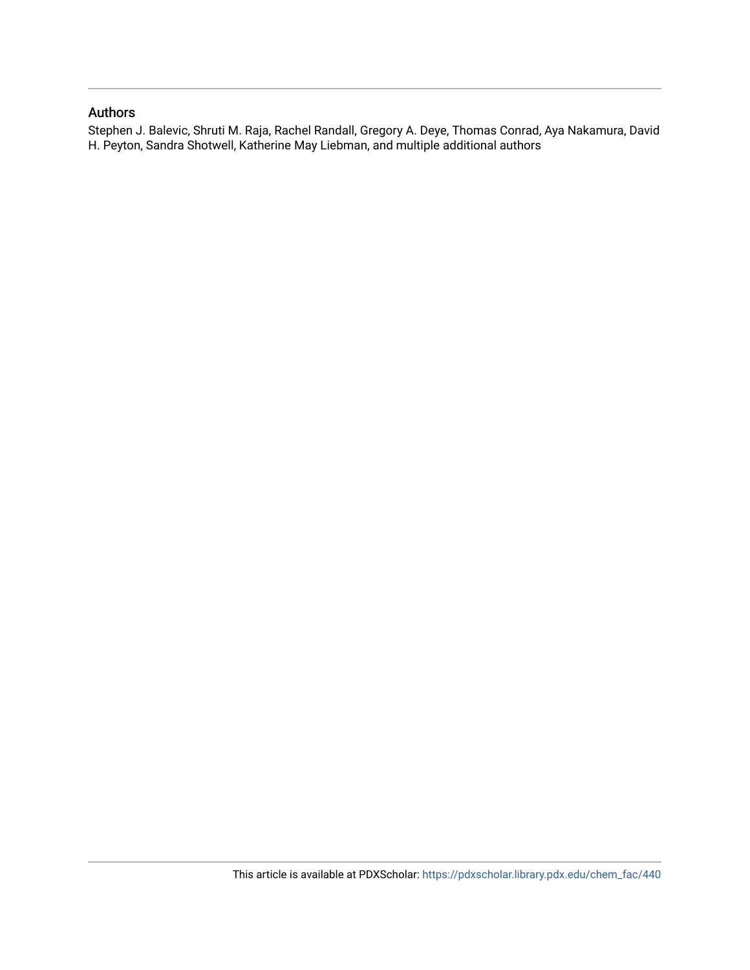#### Authors

Stephen J. Balevic, Shruti M. Raja, Rachel Randall, Gregory A. Deye, Thomas Conrad, Aya Nakamura, David H. Peyton, Sandra Shotwell, Katherine May Liebman, and multiple additional authors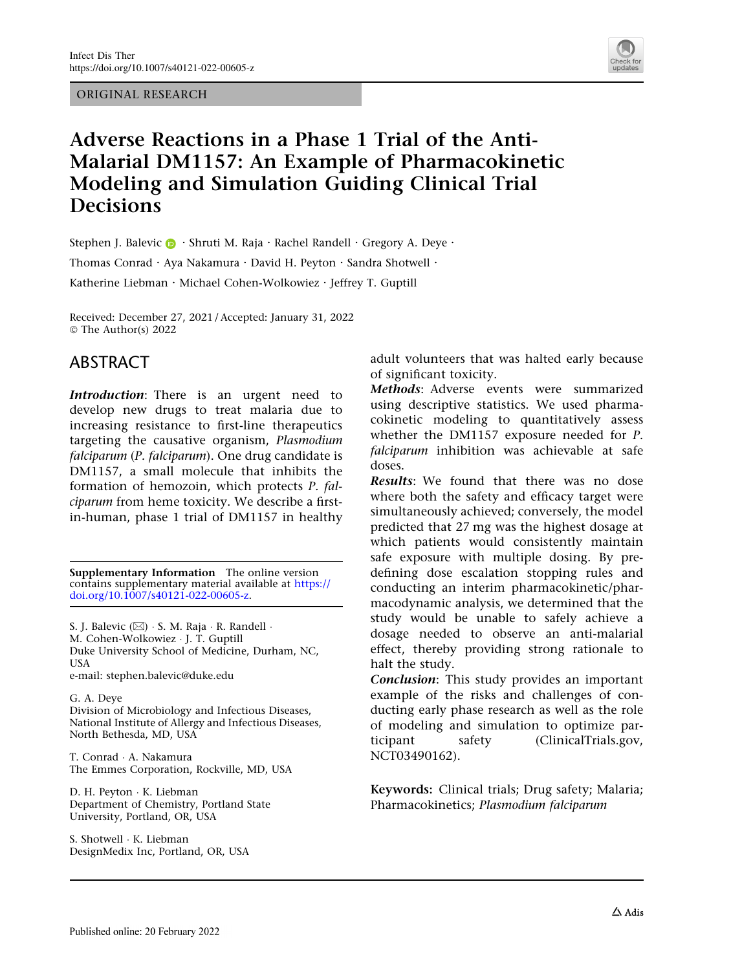ORIGINAL RESEARCH



# Adverse Reactions in a Phase 1 Trial of the Anti-Malarial DM1157: An Example of Pharmacokinetic Modeling and Simulation Guiding Clinical Trial **Decisions**

Stephen J. Balevic  $\bigcirc$  · Shruti M. Raja · Rachel Randell · Gregory A. Deve · Thomas Conrad · Aya Nakamura · David H. Peyton · Sandra Shotwell · Katherine Liebman · Michael Cohen-Wolkowiez · Jeffrey T. Guptill

Received: December 27, 2021 / Accepted: January 31, 2022 © The Author(s) 2022

## ABSTRACT

Introduction: There is an urgent need to develop new drugs to treat malaria due to increasing resistance to first-line therapeutics targeting the causative organism, Plasmodium falciparum (P. falciparum). One drug candidate is DM1157, a small molecule that inhibits the formation of hemozoin, which protects P. falciparum from heme toxicity. We describe a firstin-human, phase 1 trial of DM1157 in healthy

Supplementary Information The online version contains supplementary material available at [https://](https://doi.org/10.1007/s40121-022-00605-z) [doi.org/10.1007/s40121-022-00605-z.](https://doi.org/10.1007/s40121-022-00605-z)

S. J. Balevic (⊠) · S. M. Raja · R. Randell · M. Cohen-Wolkowiez - J. T. Guptill Duke University School of Medicine, Durham, NC, USA

e-mail: stephen.balevic@duke.edu

G. A. Deye Division of Microbiology and Infectious Diseases, National Institute of Allergy and Infectious Diseases, North Bethesda, MD, USA

T. Conrad - A. Nakamura The Emmes Corporation, Rockville, MD, USA

D. H. Peyton - K. Liebman Department of Chemistry, Portland State University, Portland, OR, USA

S. Shotwell - K. Liebman DesignMedix Inc, Portland, OR, USA adult volunteers that was halted early because of significant toxicity.

Methods: Adverse events were summarized using descriptive statistics. We used pharmacokinetic modeling to quantitatively assess whether the DM1157 exposure needed for P. falciparum inhibition was achievable at safe doses.

Results: We found that there was no dose where both the safety and efficacy target were simultaneously achieved; conversely, the model predicted that 27 mg was the highest dosage at which patients would consistently maintain safe exposure with multiple dosing. By predefining dose escalation stopping rules and conducting an interim pharmacokinetic/pharmacodynamic analysis, we determined that the study would be unable to safely achieve a dosage needed to observe an anti-malarial effect, thereby providing strong rationale to halt the study.

Conclusion: This study provides an important example of the risks and challenges of conducting early phase research as well as the role of modeling and simulation to optimize participant safety (ClinicalTrials.gov, NCT03490162).

Keywords: Clinical trials; Drug safety; Malaria; Pharmacokinetics; Plasmodium falciparum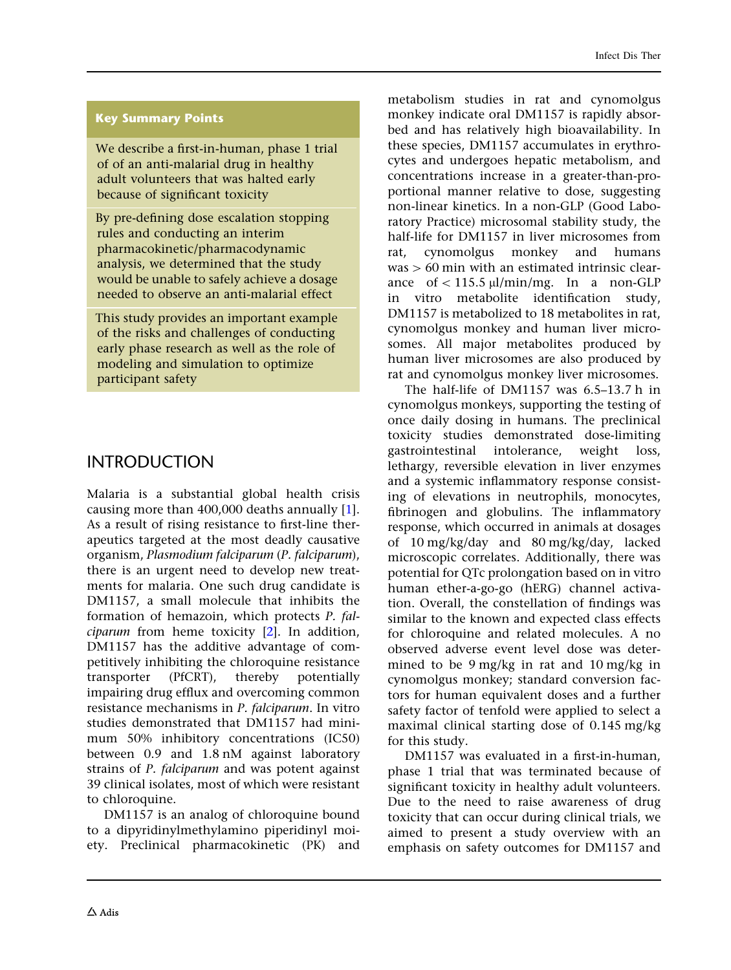#### Key Summary Points

We describe a first-in-human, phase 1 trial of of an anti-malarial drug in healthy adult volunteers that was halted early because of significant toxicity

By pre-defining dose escalation stopping rules and conducting an interim pharmacokinetic/pharmacodynamic analysis, we determined that the study would be unable to safely achieve a dosage needed to observe an anti-malarial effect

This study provides an important example of the risks and challenges of conducting early phase research as well as the role of modeling and simulation to optimize participant safety

## **INTRODUCTION**

Malaria is a substantial global health crisis causing more than 400,000 deaths annually [\[1](#page-13-0)]. As a result of rising resistance to first-line therapeutics targeted at the most deadly causative organism, Plasmodium falciparum (P. falciparum), there is an urgent need to develop new treatments for malaria. One such drug candidate is DM1157, a small molecule that inhibits the formation of hemazoin, which protects P. falciparum from heme toxicity [\[2\]](#page-13-0). In addition, DM1157 has the additive advantage of competitively inhibiting the chloroquine resistance transporter (PfCRT), thereby potentially impairing drug efflux and overcoming common resistance mechanisms in P. falciparum. In vitro studies demonstrated that DM1157 had minimum 50% inhibitory concentrations (IC50) between 0.9 and 1.8 nM against laboratory strains of P. falciparum and was potent against 39 clinical isolates, most of which were resistant to chloroquine.

DM1157 is an analog of chloroquine bound to a dipyridinylmethylamino piperidinyl moiety. Preclinical pharmacokinetic (PK) and metabolism studies in rat and cynomolgus monkey indicate oral DM1157 is rapidly absorbed and has relatively high bioavailability. In these species, DM1157 accumulates in erythrocytes and undergoes hepatic metabolism, and concentrations increase in a greater-than-proportional manner relative to dose, suggesting non-linear kinetics. In a non-GLP (Good Laboratory Practice) microsomal stability study, the half-life for DM1157 in liver microsomes from rat, cynomolgus monkey and humans  $was > 60$  min with an estimated intrinsic clearance of  $\lt$  115.5 µl/min/mg. In a non-GLP in vitro metabolite identification study, DM1157 is metabolized to 18 metabolites in rat, cynomolgus monkey and human liver microsomes. All major metabolites produced by human liver microsomes are also produced by rat and cynomolgus monkey liver microsomes.

The half-life of DM1157 was 6.5–13.7 h in cynomolgus monkeys, supporting the testing of once daily dosing in humans. The preclinical toxicity studies demonstrated dose-limiting gastrointestinal intolerance, weight loss, lethargy, reversible elevation in liver enzymes and a systemic inflammatory response consisting of elevations in neutrophils, monocytes, fibrinogen and globulins. The inflammatory response, which occurred in animals at dosages of 10 mg/kg/day and 80 mg/kg/day, lacked microscopic correlates. Additionally, there was potential for QTc prolongation based on in vitro human ether-a-go-go (hERG) channel activation. Overall, the constellation of findings was similar to the known and expected class effects for chloroquine and related molecules. A no observed adverse event level dose was determined to be 9 mg/kg in rat and 10 mg/kg in cynomolgus monkey; standard conversion factors for human equivalent doses and a further safety factor of tenfold were applied to select a maximal clinical starting dose of 0.145 mg/kg for this study.

DM1157 was evaluated in a first-in-human, phase 1 trial that was terminated because of significant toxicity in healthy adult volunteers. Due to the need to raise awareness of drug toxicity that can occur during clinical trials, we aimed to present a study overview with an emphasis on safety outcomes for DM1157 and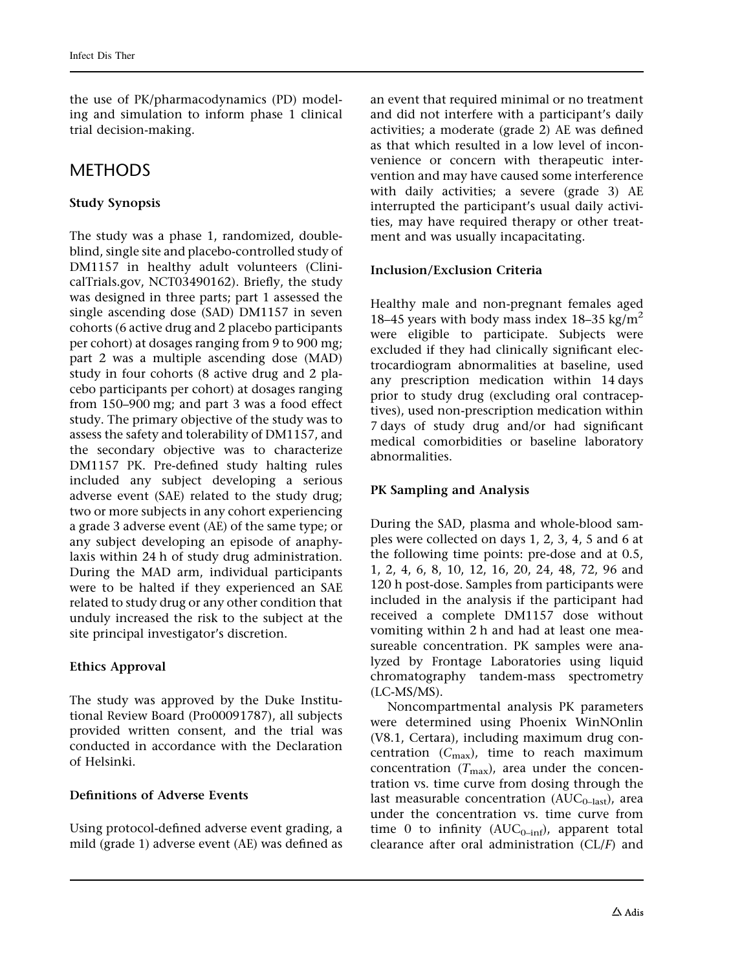the use of PK/pharmacodynamics (PD) modeling and simulation to inform phase 1 clinical trial decision-making.

## **METHODS**

## Study Synopsis

The study was a phase 1, randomized, doubleblind, single site and placebo-controlled study of DM1157 in healthy adult volunteers (ClinicalTrials.gov, NCT03490162). Briefly, the study was designed in three parts; part 1 assessed the single ascending dose (SAD) DM1157 in seven cohorts (6 active drug and 2 placebo participants per cohort) at dosages ranging from 9 to 900 mg; part 2 was a multiple ascending dose (MAD) study in four cohorts (8 active drug and 2 placebo participants per cohort) at dosages ranging from 150–900 mg; and part 3 was a food effect study. The primary objective of the study was to assess the safety and tolerability of DM1157, and the secondary objective was to characterize DM1157 PK. Pre-defined study halting rules included any subject developing a serious adverse event (SAE) related to the study drug; two or more subjects in any cohort experiencing a grade 3 adverse event (AE) of the same type; or any subject developing an episode of anaphylaxis within 24 h of study drug administration. During the MAD arm, individual participants were to be halted if they experienced an SAE related to study drug or any other condition that unduly increased the risk to the subject at the site principal investigator's discretion.

## Ethics Approval

The study was approved by the Duke Institutional Review Board (Pro00091787), all subjects provided written consent, and the trial was conducted in accordance with the Declaration of Helsinki.

## Definitions of Adverse Events

Using protocol-defined adverse event grading, a mild (grade 1) adverse event (AE) was defined as an event that required minimal or no treatment and did not interfere with a participant's daily activities; a moderate (grade 2) AE was defined as that which resulted in a low level of inconvenience or concern with therapeutic intervention and may have caused some interference with daily activities; a severe (grade 3) AE interrupted the participant's usual daily activities, may have required therapy or other treatment and was usually incapacitating.

#### Inclusion/Exclusion Criteria

Healthy male and non-pregnant females aged 18–45 years with body mass index 18–35 kg/m<sup>2</sup> were eligible to participate. Subjects were excluded if they had clinically significant electrocardiogram abnormalities at baseline, used any prescription medication within 14 days prior to study drug (excluding oral contraceptives), used non-prescription medication within 7 days of study drug and/or had significant medical comorbidities or baseline laboratory abnormalities.

#### PK Sampling and Analysis

During the SAD, plasma and whole-blood samples were collected on days 1, 2, 3, 4, 5 and 6 at the following time points: pre-dose and at 0.5, 1, 2, 4, 6, 8, 10, 12, 16, 20, 24, 48, 72, 96 and 120 h post-dose. Samples from participants were included in the analysis if the participant had received a complete DM1157 dose without vomiting within 2 h and had at least one measureable concentration. PK samples were analyzed by Frontage Laboratories using liquid chromatography tandem-mass spectrometry (LC-MS/MS).

Noncompartmental analysis PK parameters were determined using Phoenix WinNOnlin (V8.1, Certara), including maximum drug concentration  $(C_{\text{max}})$ , time to reach maximum concentration  $(T_{\text{max}})$ , area under the concentration vs. time curve from dosing through the last measurable concentration  $(AUC_{0-last})$ , area under the concentration vs. time curve from time 0 to infinity  $(AUC_{0-inf})$ , apparent total clearance after oral administration (CL/F) and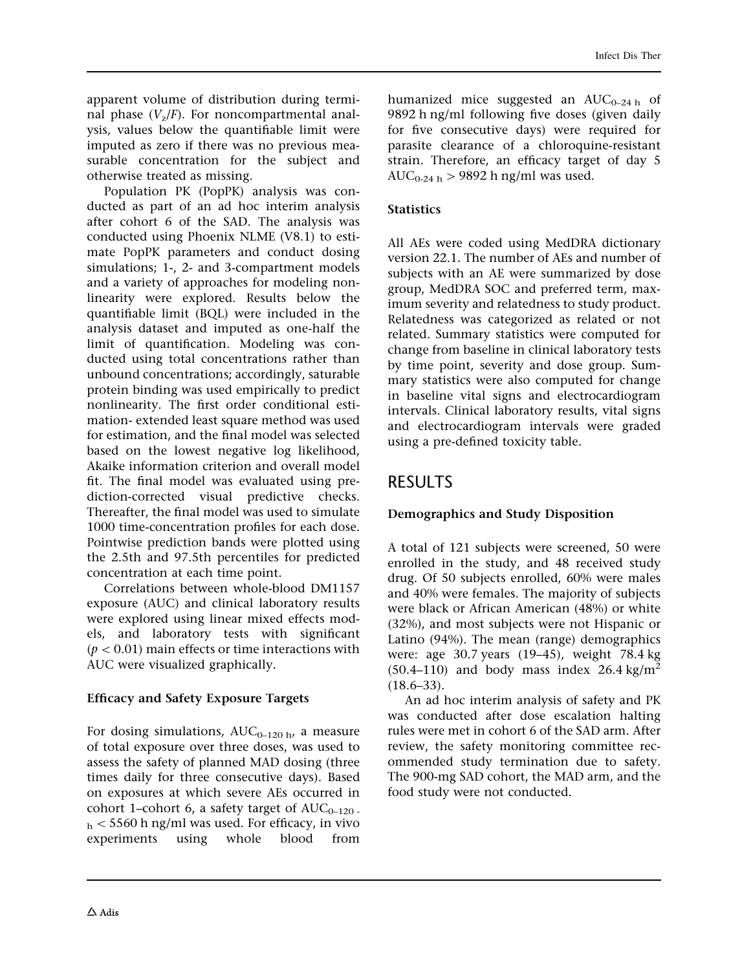apparent volume of distribution during terminal phase  $(V_z/F)$ . For noncompartmental analysis, values below the quantifiable limit were imputed as zero if there was no previous measurable concentration for the subject and otherwise treated as missing.

Population PK (PopPK) analysis was conducted as part of an ad hoc interim analysis after cohort 6 of the SAD. The analysis was conducted using Phoenix NLME (V8.1) to estimate PopPK parameters and conduct dosing simulations; 1-, 2- and 3-compartment models and a variety of approaches for modeling nonlinearity were explored. Results below the quantifiable limit (BQL) were included in the analysis dataset and imputed as one-half the limit of quantification. Modeling was conducted using total concentrations rather than unbound concentrations; accordingly, saturable protein binding was used empirically to predict nonlinearity. The first order conditional estimation- extended least square method was used for estimation, and the final model was selected based on the lowest negative log likelihood, Akaike information criterion and overall model fit. The final model was evaluated using prediction-corrected visual predictive checks. Thereafter, the final model was used to simulate 1000 time-concentration profiles for each dose. Pointwise prediction bands were plotted using the 2.5th and 97.5th percentiles for predicted concentration at each time point.

Correlations between whole-blood DM1157 exposure (AUC) and clinical laboratory results were explored using linear mixed effects models, and laboratory tests with significant  $(p < 0.01)$  main effects or time interactions with AUC were visualized graphically.

#### Efficacy and Safety Exposure Targets

For dosing simulations,  $AUC_{0-120 \text{ h}}$ , a measure of total exposure over three doses, was used to assess the safety of planned MAD dosing (three times daily for three consecutive days). Based on exposures at which severe AEs occurred in cohort 1–cohort 6, a safety target of  $AUC_{0-120}$ .  $h<$  5560 h ng/ml was used. For efficacy, in vivo experiments using whole blood from humanized mice suggested an  $AUC_{0-24 h}$  of 9892 h ng/ml following five doses (given daily for five consecutive days) were required for parasite clearance of a chloroquine-resistant strain. Therefore, an efficacy target of day 5 AUC<sub>0-24 h</sub>  $>$  9892 h ng/ml was used.

#### **Statistics**

All AEs were coded using MedDRA dictionary version 22.1. The number of AEs and number of subjects with an AE were summarized by dose group, MedDRA SOC and preferred term, maximum severity and relatedness to study product. Relatedness was categorized as related or not related. Summary statistics were computed for change from baseline in clinical laboratory tests by time point, severity and dose group. Summary statistics were also computed for change in baseline vital signs and electrocardiogram intervals. Clinical laboratory results, vital signs and electrocardiogram intervals were graded using a pre-defined toxicity table.

## RESULTS

## Demographics and Study Disposition

A total of 121 subjects were screened, 50 were enrolled in the study, and 48 received study drug. Of 50 subjects enrolled, 60% were males and 40% were females. The majority of subjects were black or African American (48%) or white (32%), and most subjects were not Hispanic or Latino (94%). The mean (range) demographics were: age 30.7 years (19–45), weight 78.4 kg  $(50.4–110)$  and body mass index 26.4 kg/m<sup>2</sup>  $(18.6 - 33)$ .

An ad hoc interim analysis of safety and PK was conducted after dose escalation halting rules were met in cohort 6 of the SAD arm. After review, the safety monitoring committee recommended study termination due to safety. The 900-mg SAD cohort, the MAD arm, and the food study were not conducted.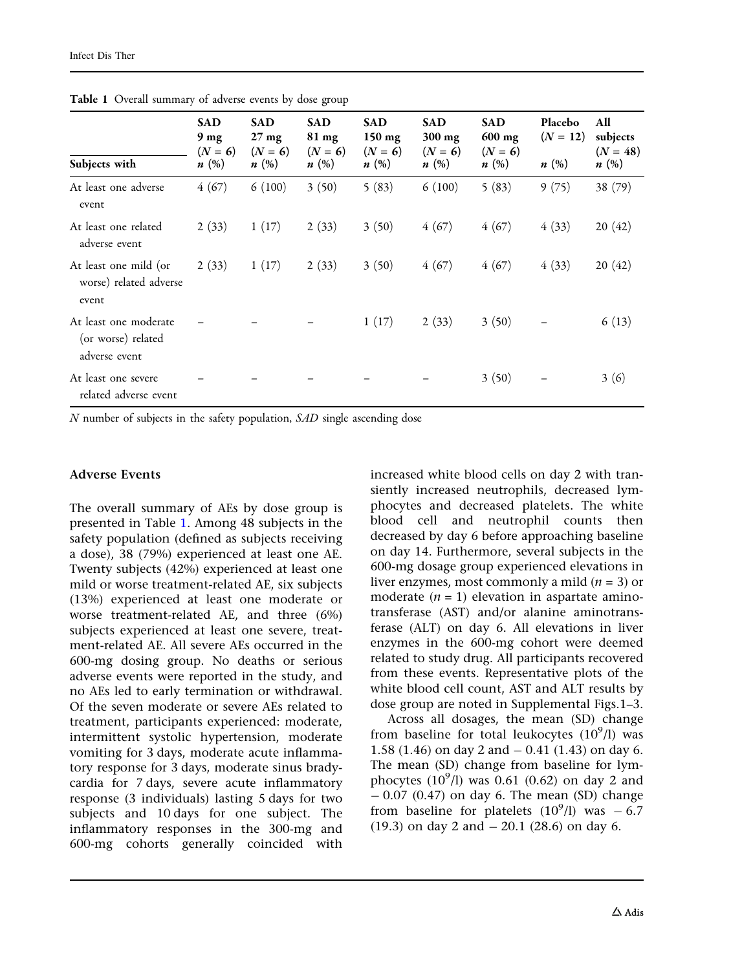| Subjects with                                                | <b>SAD</b><br>9 <sub>mg</sub><br>$(N = 6)$<br>n(%) | <b>SAD</b><br>$27 \text{ mg}$<br>$(N = 6)$<br>$n\ (\%)$ | <b>SAD</b><br>81 mg<br>$(N = 6)$<br>n(%) | <b>SAD</b><br>$150$ mg<br>$(N = 6)$<br>n(%) | <b>SAD</b><br>$300$ mg<br>$(N = 6)$<br>$n\ (\%)$ | <b>SAD</b><br>$600$ mg<br>$(N = 6)$<br>n(%) | Placebo<br>$(N = 12)$<br>n(%) | All<br>subjects<br>$(N = 48)$<br>n(%) |
|--------------------------------------------------------------|----------------------------------------------------|---------------------------------------------------------|------------------------------------------|---------------------------------------------|--------------------------------------------------|---------------------------------------------|-------------------------------|---------------------------------------|
| At least one adverse<br>event                                | 4(67)                                              | 6(100)                                                  | 3(50)                                    | 5(83)                                       | 6(100)                                           | 5(83)                                       | 9(75)                         | 38 (79)                               |
| At least one related<br>adverse event                        | 2(33)                                              | 1(17)                                                   | 2(33)                                    | 3(50)                                       | 4(67)                                            | 4(67)                                       | 4(33)                         | 20(42)                                |
| At least one mild (or<br>worse) related adverse<br>event     | 2(33)                                              | 1(17)                                                   | 2(33)                                    | 3(50)                                       | 4(67)                                            | 4(67)                                       | 4(33)                         | 20(42)                                |
| At least one moderate<br>(or worse) related<br>adverse event |                                                    |                                                         |                                          | 1(17)                                       | 2(33)                                            | 3(50)                                       |                               | 6(13)                                 |
| At least one severe<br>related adverse event                 |                                                    |                                                         |                                          |                                             |                                                  | 3(50)                                       |                               | 3(6)                                  |

Table 1 Overall summary of adverse events by dose group

N number of subjects in the safety population, SAD single ascending dose

#### Adverse Events

The overall summary of AEs by dose group is presented in Table 1. Among 48 subjects in the safety population (defined as subjects receiving a dose), 38 (79%) experienced at least one AE. Twenty subjects (42%) experienced at least one mild or worse treatment-related AE, six subjects (13%) experienced at least one moderate or worse treatment-related AE, and three (6%) subjects experienced at least one severe, treatment-related AE. All severe AEs occurred in the 600-mg dosing group. No deaths or serious adverse events were reported in the study, and no AEs led to early termination or withdrawal. Of the seven moderate or severe AEs related to treatment, participants experienced: moderate, intermittent systolic hypertension, moderate vomiting for 3 days, moderate acute inflammatory response for 3 days, moderate sinus bradycardia for 7 days, severe acute inflammatory response (3 individuals) lasting 5 days for two subjects and 10 days for one subject. The inflammatory responses in the 300-mg and 600-mg cohorts generally coincided with

increased white blood cells on day 2 with transiently increased neutrophils, decreased lymphocytes and decreased platelets. The white blood cell and neutrophil counts then decreased by day 6 before approaching baseline on day 14. Furthermore, several subjects in the 600-mg dosage group experienced elevations in liver enzymes, most commonly a mild  $(n = 3)$  or moderate  $(n = 1)$  elevation in aspartate aminotransferase (AST) and/or alanine aminotransferase (ALT) on day 6. All elevations in liver enzymes in the 600-mg cohort were deemed related to study drug. All participants recovered from these events. Representative plots of the white blood cell count, AST and ALT results by dose group are noted in Supplemental Figs.1–3.

Across all dosages, the mean (SD) change from baseline for total leukocytes  $(10^9/l)$  was 1.58 (1.46) on day 2 and  $-$  0.41 (1.43) on day 6. The mean (SD) change from baseline for lymphocytes  $(10^9/l)$  was 0.61  $(0.62)$  on day 2 and  $-0.07$  (0.47) on day 6. The mean (SD) change from baseline for platelets  $(10^9/l)$  was  $-6.7$  $(19.3)$  on day 2 and  $- 20.1$   $(28.6)$  on day 6.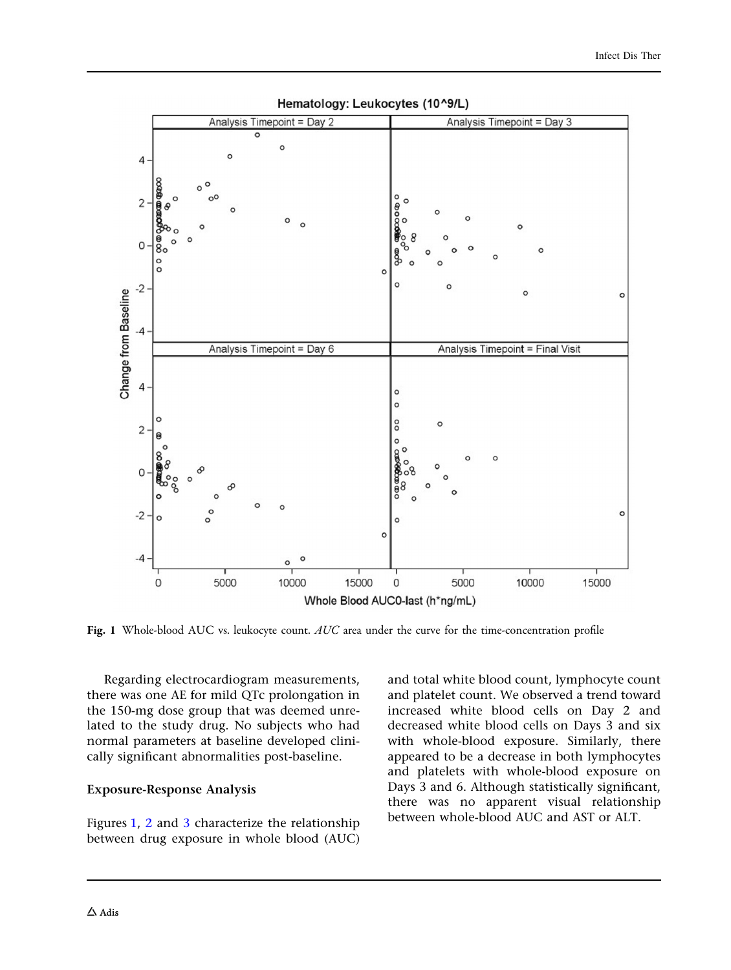

Hematology: Leukocytes (10^9/L)

Fig. 1 Whole-blood AUC vs. leukocyte count. AUC area under the curve for the time-concentration profile

Regarding electrocardiogram measurements, there was one AE for mild QTc prolongation in the 150-mg dose group that was deemed unrelated to the study drug. No subjects who had normal parameters at baseline developed clinically significant abnormalities post-baseline.

#### Exposure-Response Analysis

Figures 1, [2](#page-8-0) and [3](#page-9-0) characterize the relationship between drug exposure in whole blood (AUC)

and total white blood count, lymphocyte count and platelet count. We observed a trend toward increased white blood cells on Day 2 and decreased white blood cells on Days 3 and six with whole-blood exposure. Similarly, there appeared to be a decrease in both lymphocytes and platelets with whole-blood exposure on Days 3 and 6. Although statistically significant, there was no apparent visual relationship between whole-blood AUC and AST or ALT.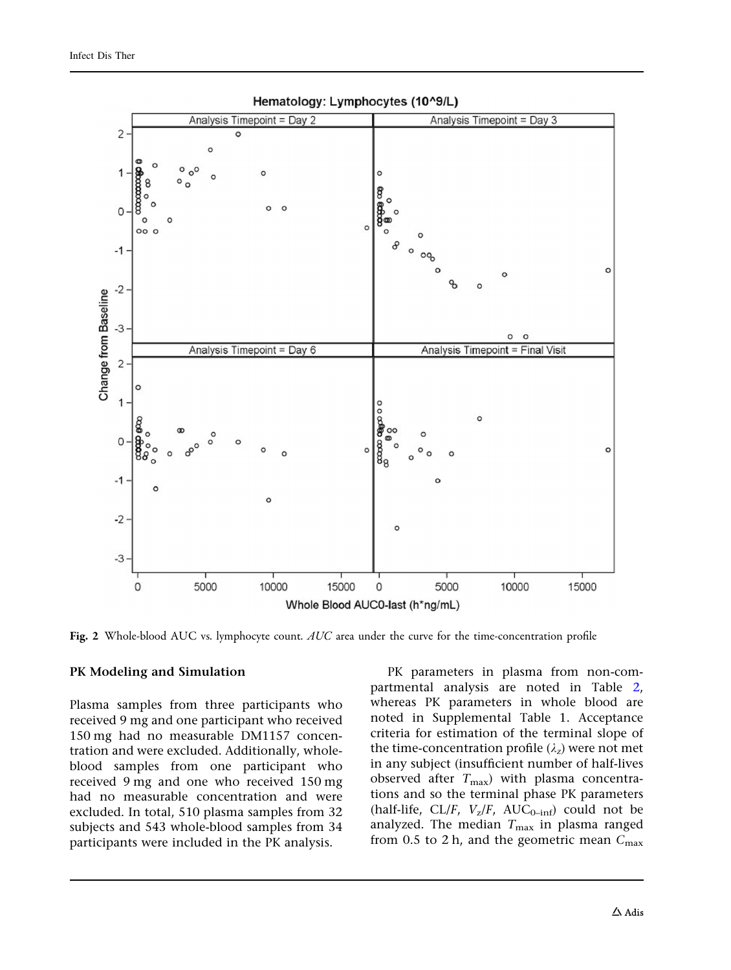<span id="page-8-0"></span>

Hematology: Lymphocytes (10^9/L)

Fig. 2 Whole-blood AUC vs. lymphocyte count. AUC area under the curve for the time-concentration profile

#### PK Modeling and Simulation

Plasma samples from three participants who received 9 mg and one participant who received 150 mg had no measurable DM1157 concentration and were excluded. Additionally, wholeblood samples from one participant who received 9 mg and one who received 150 mg had no measurable concentration and were excluded. In total, 510 plasma samples from 32 subjects and 543 whole-blood samples from 34 participants were included in the PK analysis.

PK parameters in plasma from non-compartmental analysis are noted in Table [2,](#page-10-0) whereas PK parameters in whole blood are noted in Supplemental Table 1. Acceptance criteria for estimation of the terminal slope of the time-concentration profile  $(\lambda_z)$  were not met in any subject (insufficient number of half-lives observed after  $T_{\text{max}}$ ) with plasma concentrations and so the terminal phase PK parameters (half-life, CL/F,  $V_z/F$ , AUC<sub>0-inf</sub>) could not be analyzed. The median  $T_{\text{max}}$  in plasma ranged from 0.5 to 2 h, and the geometric mean  $C_{\text{max}}$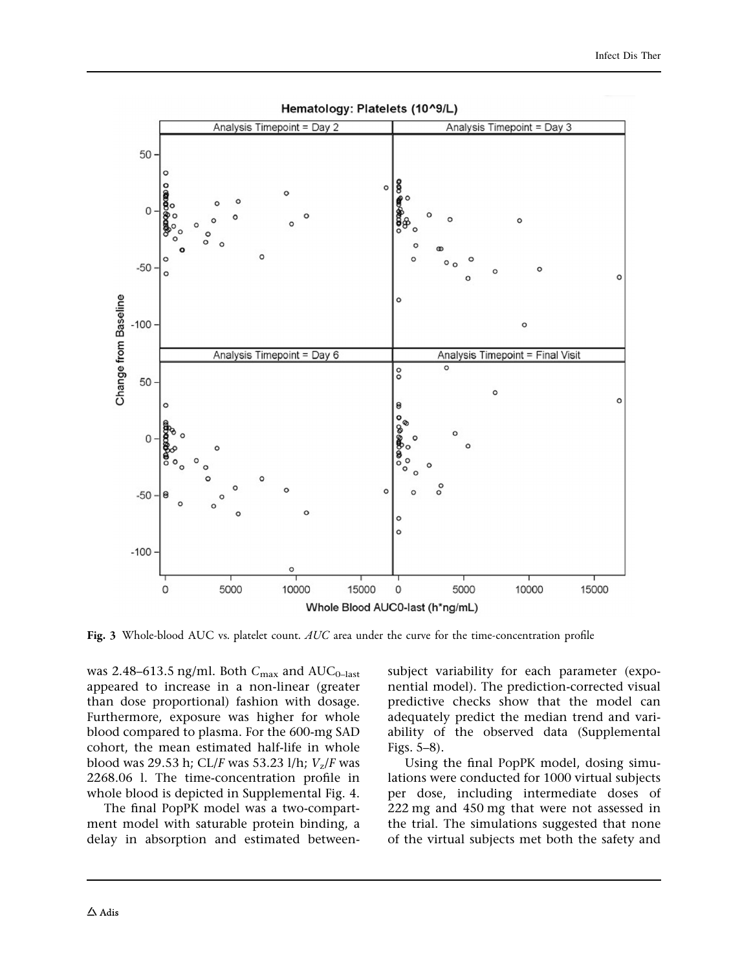<span id="page-9-0"></span>

Hematology: Platelets (10^9/L)

Fig. 3 Whole-blood AUC vs. platelet count. AUC area under the curve for the time-concentration profile

was 2.48–613.5 ng/ml. Both  $C_{\text{max}}$  and  $\text{AUC}_{0-\text{last}}$ appeared to increase in a non-linear (greater than dose proportional) fashion with dosage. Furthermore, exposure was higher for whole blood compared to plasma. For the 600-mg SAD cohort, the mean estimated half-life in whole blood was 29.53 h; CL/F was 53.23 l/h;  $V_z$ /F was 2268.06 l. The time-concentration profile in whole blood is depicted in Supplemental Fig. 4.

The final PopPK model was a two-compartment model with saturable protein binding, a delay in absorption and estimated betweensubject variability for each parameter (exponential model). The prediction-corrected visual predictive checks show that the model can adequately predict the median trend and variability of the observed data (Supplemental Figs. 5–8).

Using the final PopPK model, dosing simulations were conducted for 1000 virtual subjects per dose, including intermediate doses of 222 mg and 450 mg that were not assessed in the trial. The simulations suggested that none of the virtual subjects met both the safety and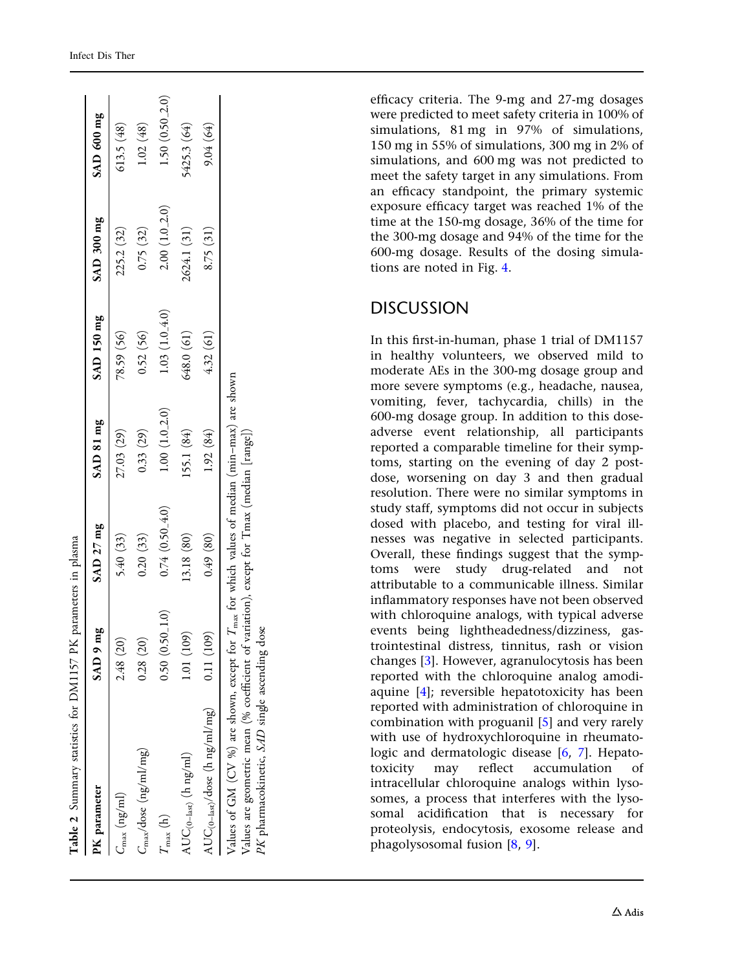<span id="page-10-0"></span>

| Table 2 Summary statistics for DM1157 PK p                                                                                                                                                                                                             |                   | parameters in plasma |              |                  |                   |                     |
|--------------------------------------------------------------------------------------------------------------------------------------------------------------------------------------------------------------------------------------------------------|-------------------|----------------------|--------------|------------------|-------------------|---------------------|
| PK parameter                                                                                                                                                                                                                                           | SAD 9 mg          | SAD 27 mg            | SAD 81 mg    | SAD 150 mg       | SAD 300 mg        | SAD 600 mg          |
| $C_{\rm max}$ (ng/ml)                                                                                                                                                                                                                                  | 2.48 (20)         | 5.40(33)             | 27.03 (29)   | 78.59 (56)       | 225.2 (32)        | 613.5(48)           |
| $C_{\rm max}/{\rm dose}\;(\rm ng\!/ml/mg)$                                                                                                                                                                                                             | 0.28(20)          | 0.20(33)             | 0.33(29)     | 0.52(56)         | 0.75(32)          | 1.02(48)            |
| $T_{\mathrm{max}}\left(\mathrm{h}\right)$                                                                                                                                                                                                              | $0.50(0.50\_1.0)$ | $0.74(0.50\_4.0)$    | 1.00(1.02.0) | $1.03(1.0\_4.0)$ | $2.00(1.0 - 2.0)$ | $1.50(0.50_{-2.0})$ |
| $\mathrm{AUC}_{(\mathrm{0\text{--}last})}$ (h ng/ml)                                                                                                                                                                                                   | 1.01(109)         | 13.18 (80)           | 155.1 (84)   | 648.0 (61)       | 2624.1 (31)       | 5425.3 (64)         |
| $\mathrm{AUC}_{(\mathrm{0-last})}/\mathrm{dose}$ (h ng/ml/mg)                                                                                                                                                                                          | 0.11(109)         | (0.49)(80)           | 1.92(84)     | 4.32(61)         | 8.75(31)          | 9.04(64)            |
| Values of GM (CV %) are shown, except for $T_{\text{max}}$ for which values of median (min-max) are shown<br>Values are geometric mean (% coefficient of variation), except for Tmax (median [range])<br>PK pharmacokinetic, SAD single ascending dose |                   |                      |              |                  |                   |                     |

Table 2 Summary statistics for DM1157 PK parameters in plasma

efficacy criteria. The 9-mg and 27-mg dosages were predicted to meet safety criteria in 100% of simulations, 81 mg in 97% of simulations, 150 mg in 55% of simulations, 300 mg in 2% of simulations, and 600 mg was not predicted to meet the safety target in any simulations. From an efficacy standpoint, the primary systemic exposure efficacy target was reached 1% of the time at the 150-mg dosage, 36% of the time for the 300-mg dosage and 94% of the time for the 600-mg dosage. Results of the dosing simulations are noted in Fig. [4](#page-11-0).

## DISCUSSION

In this first-in-human, phase 1 trial of DM1157 in healthy volunteers, we observed mild to moderate AEs in the 300-mg dosage group and more severe symptoms (e.g., headache, nausea, vomiting, fever, tachycardia, chills) in the 600-mg dosage group. In addition to this doseadverse event relationship, all participants reported a comparable timeline for their symptoms, starting on the evening of day 2 postdose, worsening on day 3 and then gradual resolution. There were no similar symptoms in study staff, symptoms did not occur in subjects dosed with placebo, and testing for viral illnesses was negative in selected participants. Overall, these findings suggest that the symptoms were study drug-related and not attributable to a communicable illness. Similar inflammatory responses have not been observed with chloroquine analogs, with typical adverse events being lightheadedness/dizziness, gastrointestinal distress, tinnitus, rash or vision changes [ [3](#page-13-0)]. However, agranulocytosis has been reported with the chloroquine analog amodiaquine [\[4\]](#page-13-0); reversible hepatotoxicity has been reported with administration of chloroquine in combination with proguanil [ [5](#page-13-0)] and very rarely with use of hydroxychloroquine in rheumatologic and dermatologic disease [[6](#page-13-0), [7](#page-13-0)]. Hepatotoxicity may reflect accumulation of intracellular chloroquine analogs within lysosomes, a process that interferes with the lysosomal acidification that is necessary for proteolysis, endocytosis, exosome release and phagolysosomal fusion [ [8](#page-13-0) , [9](#page-13-0)].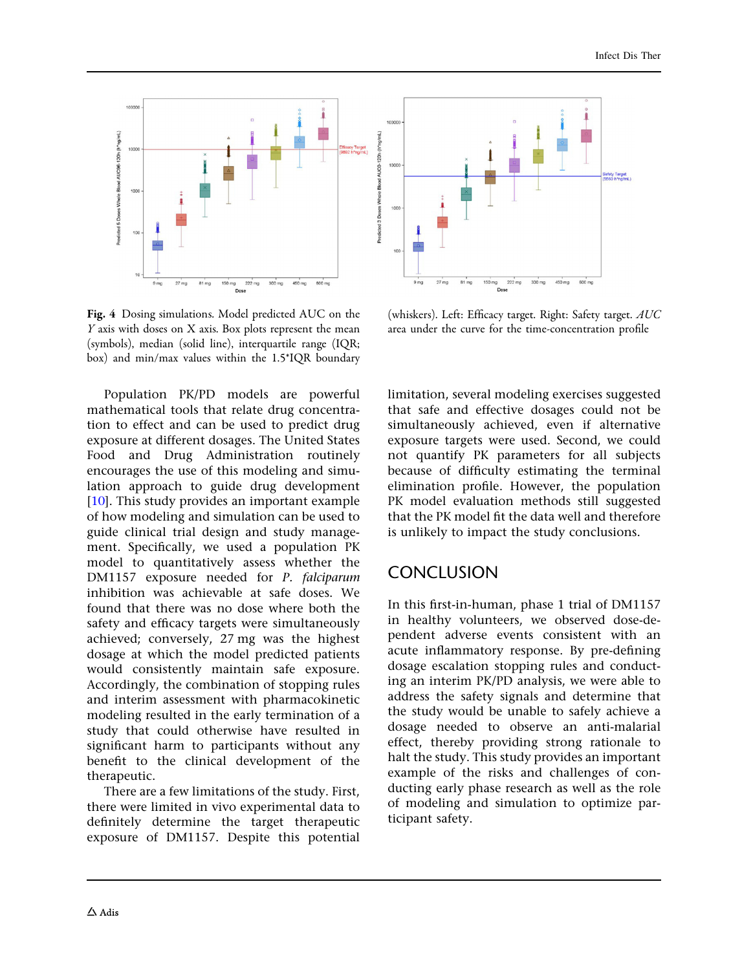<span id="page-11-0"></span>

Fig. 4 Dosing simulations. Model predicted AUC on the Y axis with doses on X axis. Box plots represent the mean (symbols), median (solid line), interquartile range (IQR; box) and min/max values within the 1.5\*IQR boundary

Population PK/PD models are powerful mathematical tools that relate drug concentration to effect and can be used to predict drug exposure at different dosages. The United States Food and Drug Administration routinely encourages the use of this modeling and simulation approach to guide drug development [\[10\]](#page-13-0). This study provides an important example of how modeling and simulation can be used to guide clinical trial design and study management. Specifically, we used a population PK model to quantitatively assess whether the DM1157 exposure needed for P. falciparum inhibition was achievable at safe doses. We found that there was no dose where both the safety and efficacy targets were simultaneously achieved; conversely, 27 mg was the highest dosage at which the model predicted patients would consistently maintain safe exposure. Accordingly, the combination of stopping rules and interim assessment with pharmacokinetic modeling resulted in the early termination of a study that could otherwise have resulted in significant harm to participants without any benefit to the clinical development of the therapeutic.

There are a few limitations of the study. First, there were limited in vivo experimental data to definitely determine the target therapeutic exposure of DM1157. Despite this potential



(whiskers). Left: Efficacy target. Right: Safety target. AUC area under the curve for the time-concentration profile

limitation, several modeling exercises suggested that safe and effective dosages could not be simultaneously achieved, even if alternative exposure targets were used. Second, we could not quantify PK parameters for all subjects because of difficulty estimating the terminal elimination profile. However, the population PK model evaluation methods still suggested that the PK model fit the data well and therefore is unlikely to impact the study conclusions.

## **CONCLUSION**

In this first-in-human, phase 1 trial of DM1157 in healthy volunteers, we observed dose-dependent adverse events consistent with an acute inflammatory response. By pre-defining dosage escalation stopping rules and conducting an interim PK/PD analysis, we were able to address the safety signals and determine that the study would be unable to safely achieve a dosage needed to observe an anti-malarial effect, thereby providing strong rationale to halt the study. This study provides an important example of the risks and challenges of conducting early phase research as well as the role of modeling and simulation to optimize participant safety.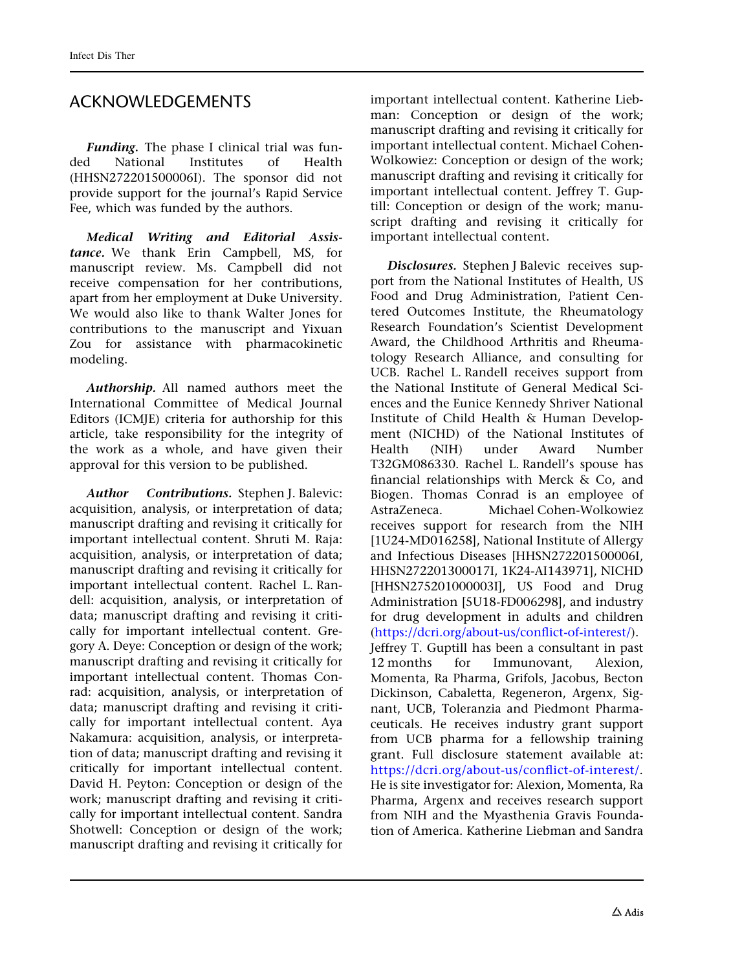## ACKNOWLEDGEMENTS

Funding. The phase I clinical trial was funded National Institutes of Health (HHSN272201500006I). The sponsor did not provide support for the journal's Rapid Service Fee, which was funded by the authors.

Medical Writing and Editorial Assistance. We thank Erin Campbell, MS, for manuscript review. Ms. Campbell did not receive compensation for her contributions, apart from her employment at Duke University. We would also like to thank Walter Jones for contributions to the manuscript and Yixuan Zou for assistance with pharmacokinetic modeling.

Authorship. All named authors meet the International Committee of Medical Journal Editors (ICMJE) criteria for authorship for this article, take responsibility for the integrity of the work as a whole, and have given their approval for this version to be published.

Author Contributions. Stephen J. Balevic: acquisition, analysis, or interpretation of data; manuscript drafting and revising it critically for important intellectual content. Shruti M. Raja: acquisition, analysis, or interpretation of data; manuscript drafting and revising it critically for important intellectual content. Rachel L. Randell: acquisition, analysis, or interpretation of data; manuscript drafting and revising it critically for important intellectual content. Gregory A. Deye: Conception or design of the work; manuscript drafting and revising it critically for important intellectual content. Thomas Conrad: acquisition, analysis, or interpretation of data; manuscript drafting and revising it critically for important intellectual content. Aya Nakamura: acquisition, analysis, or interpretation of data; manuscript drafting and revising it critically for important intellectual content. David H. Peyton: Conception or design of the work; manuscript drafting and revising it critically for important intellectual content. Sandra Shotwell: Conception or design of the work; manuscript drafting and revising it critically for

important intellectual content. Katherine Liebman: Conception or design of the work; manuscript drafting and revising it critically for important intellectual content. Michael Cohen-Wolkowiez: Conception or design of the work; manuscript drafting and revising it critically for important intellectual content. Jeffrey T. Guptill: Conception or design of the work; manuscript drafting and revising it critically for important intellectual content.

Disclosures. Stephen J Balevic receives support from the National Institutes of Health, US Food and Drug Administration, Patient Centered Outcomes Institute, the Rheumatology Research Foundation's Scientist Development Award, the Childhood Arthritis and Rheumatology Research Alliance, and consulting for UCB. Rachel L. Randell receives support from the National Institute of General Medical Sciences and the Eunice Kennedy Shriver National Institute of Child Health & Human Development (NICHD) of the National Institutes of Health (NIH) under Award Number T32GM086330. Rachel L. Randell's spouse has financial relationships with Merck & Co, and Biogen. Thomas Conrad is an employee of<br>AstraZeneca. Michael Cohen-Wolkowiez Michael Cohen-Wolkowiez receives support for research from the NIH [1U24-MD016258], National Institute of Allergy and Infectious Diseases [HHSN272201500006I, HHSN272201300017I, 1K24-AI143971], NICHD [HHSN275201000003I], US Food and Drug Administration [5U18-FD006298], and industry for drug development in adults and children [\(https://dcri.org/about-us/conflict-of-interest/](https://dcri.org/about-us/conflict-of-interest/)). Jeffrey T. Guptill has been a consultant in past 12 months for Immunovant, Alexion, Momenta, Ra Pharma, Grifols, Jacobus, Becton Dickinson, Cabaletta, Regeneron, Argenx, Signant, UCB, Toleranzia and Piedmont Pharmaceuticals. He receives industry grant support from UCB pharma for a fellowship training grant. Full disclosure statement available at: <https://dcri.org/about-us/conflict-of-interest/>. He is site investigator for: Alexion, Momenta, Ra Pharma, Argenx and receives research support from NIH and the Myasthenia Gravis Foundation of America. Katherine Liebman and Sandra